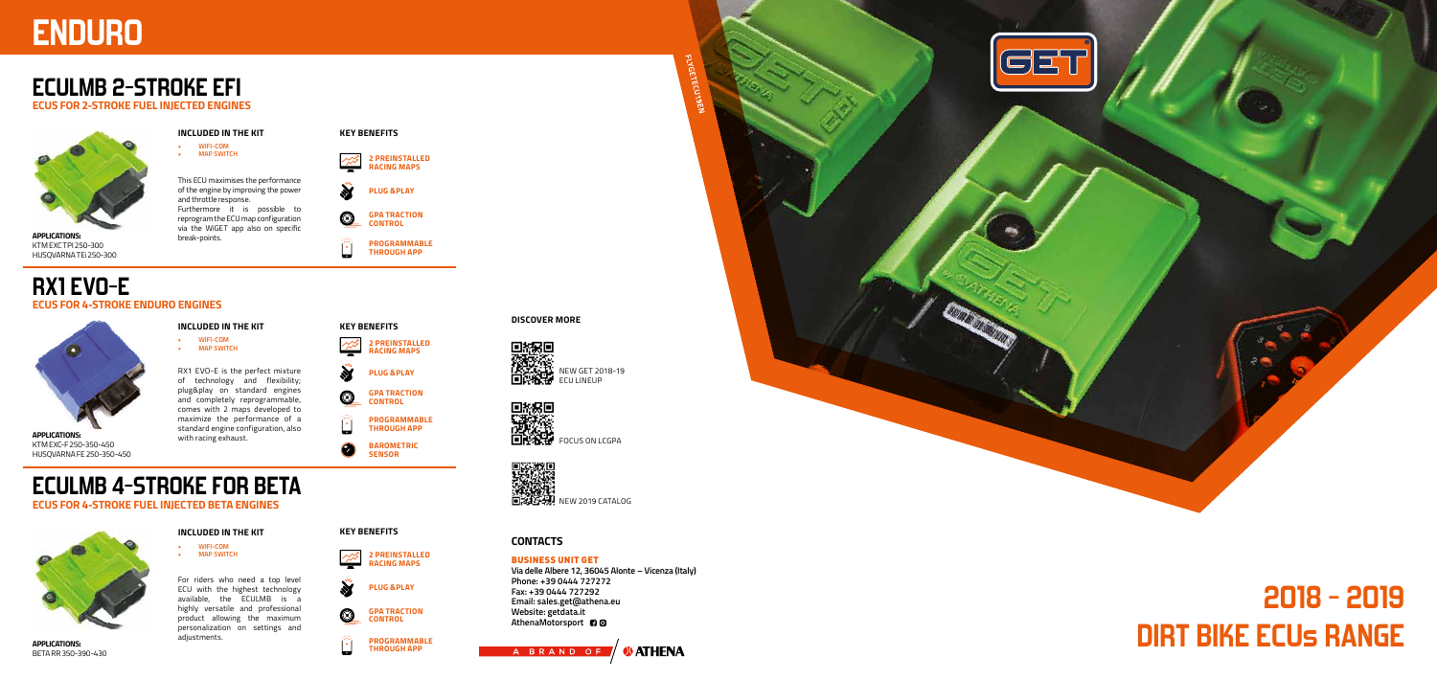# **2018 - 2019 DIRT BIKE ECUs RANGE**

**Via delle Albere 12, 36045 Alonte – Vicenza (Italy) Phone: +39 0444 727272 Fax: +39 0444 727292 Email: sales.get@athena.eu Website: getdata.it** AthenaMotorsport<sup>1</sup>30





## BUSINESS UNIT GET

# **ENDURO**

# **ECULMB 2-STROKE EFI**

**ECUS FOR 2-STROKE FUEL INJECTED ENGINES**

# **RX1 EVO-E ECUS FOR 4-STROKE ENDURO ENGINES**

**ECUS FOR 4-STROKE FUEL INJECTED BETA ENGINES**



This ECU maximises the performance of the engine by improving the power and throttle response. Furthermore it is possible to reprogram the ECU map configuration via the WiGET app also on specific break-points.

For riders who need a top level ECU with the highest technology available, the ECULMB is a highly versatile and professional product allowing the maximum personalization on settings and adjustments.



**KEY BENEFITS**

 $\circledcirc$ 

**KEY BENEFITS**

 $\circledcirc$ 

## **KEY BENEFITS**



## **INCLUDED IN THE KIT**

NEW GET 2018-19 **ELITE E**<br>**ALICE ALICE ANNO SET 201**<br>**ELICE ALICE ECU LINEUP** 

**• WIFI-COM • MAP SWITCH**

# **INCLUDED IN THE KIT**

**• WIFI-COM • MAP SWITCH**

**INCLUDED IN THE KIT • WIFI-COM**

**• MAP SWITCH**

**GPA TRACTION CONTROL**



**GPA TRACTION CONTROL**

**2 PREINSTALLED RACING MAPS**



**2 PREINSTALLED RACING MAPS**

**PLUG &PLAY**

**PLUG &PLAY**

**PLUG &PLAY**

**PROGRAMMABLE THROUGH APP**

**PROGRAMMABLE THROUGH APP**

> **PROGRAMMABLE THROUGH APP**





KTM EXC TPI 250-300 HUSQVARNA TE i 250-300



KTM EXC-F 250-350-450

**APPLICATIONS:** BETA RR 350-390-430 RX1 EVO-E is the perfect mixture of technology and flexibility; plug&play on standard engines and completely reprogrammable, comes with 2 maps developed to maximize the performance of a standard engine configuration, also with racing exhaust.

**DISCOVER MORE**

## **CONTACTS**

NEW 2019 CATALOG